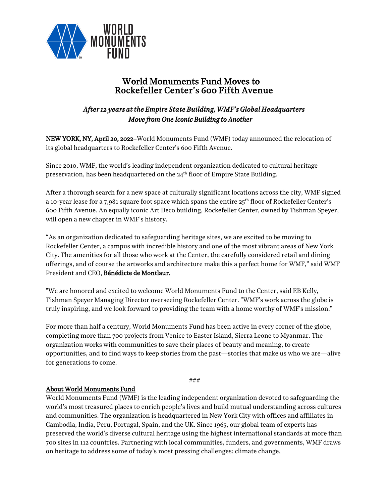

# World Monuments Fund Moves to Rockefeller Center's 600 Fifth Avenue

## *After 12 years at the Empire State Building, WMF's Global Headquarters Move from One Iconic Building to Another*

NEW YORK, NY, April 20, 2022–World Monuments Fund (WMF) today announced the relocation of its global headquarters to Rockefeller Center's 600 Fifth Avenue.

Since 2010, WMF, the world's leading independent organization dedicated to cultural heritage preservation, has been headquartered on the 24<sup>th</sup> floor of Empire State Building.

After a thorough search for a new space at culturally significant locations across the city, WMF signed a 10-year lease for a 7,981 square foot space which spans the entire 25th floor of Rockefeller Center's 600 Fifth Avenue. An equally iconic Art Deco building, Rockefeller Center, owned by Tishman Speyer, will open a new chapter in WMF's history.

"As an organization dedicated to safeguarding heritage sites, we are excited to be moving to Rockefeller Center, a campus with incredible history and one of the most vibrant areas of New York City. The amenities for all those who work at the Center, the carefully considered retail and dining offerings, and of course the artworks and architecture make this a perfect home for WMF," said WMF President and CEO, Bénédicte de Montlaur.

"We are honored and excited to welcome World Monuments Fund to the Center, said EB Kelly, Tishman Speyer Managing Director overseeing Rockefeller Center. "WMF's work across the globe is truly inspiring, and we look forward to providing the team with a home worthy of WMF's mission."

For more than half a century, World Monuments Fund has been active in every corner of the globe, completing more than 700 projects from Venice to Easter Island, Sierra Leone to Myanmar. The organization works with communities to save their places of beauty and meaning, to create opportunities, and to find ways to keep stories from the past—stories that make us who we are—alive for generations to come.

*###*

### About World Monuments Fund

World Monuments Fund (WMF) is the leading independent organization devoted to safeguarding the world's most treasured places to enrich people's lives and build mutual understanding across cultures and communities. The organization is headquartered in New York City with offices and affiliates in Cambodia, India, Peru, Portugal, Spain, and the UK. Since 1965, our global team of experts has preserved the world's diverse cultural heritage using the highest international standards at more than 700 sites in 112 countries. Partnering with local communities, funders, and governments, WMF draws on heritage to address some of today's most pressing challenges: climate change,